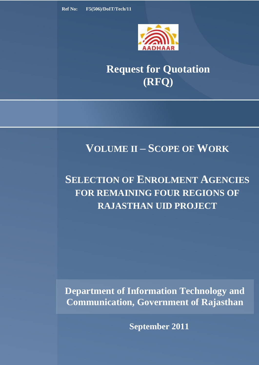

# **Request for Quotation (RFQ)**

# **VOLUME II – SCOPE OF WORK**

# **SELECTION OF ENROLMENT AGENCIES FOR REMAINING FOUR REGIONS OF RAJASTHAN UID PROJECT**

**Department of Information Technology and Communication, Government of Rajasthan**

**September 2011**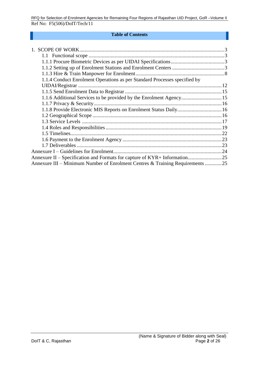#### **Table of Contents**

| 1.1.4 Conduct Enrolment Operations as per Standard Processes specified by     |  |
|-------------------------------------------------------------------------------|--|
|                                                                               |  |
|                                                                               |  |
| 1.1.6 Additional Services to be provided by the Enrolment Agency 15           |  |
|                                                                               |  |
|                                                                               |  |
|                                                                               |  |
|                                                                               |  |
|                                                                               |  |
|                                                                               |  |
|                                                                               |  |
|                                                                               |  |
|                                                                               |  |
|                                                                               |  |
| Annexure III – Minimum Number of Enrolment Centres & Training Requirements 25 |  |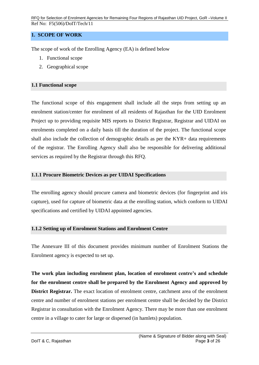## <span id="page-2-0"></span>**1. SCOPE OF WORK**

<span id="page-2-1"></span>The scope of work of the Enrolling Agency (EA) is defined below

- 1. Functional scope
- 2. Geographical scope

## **1.1 Functional scope**

The functional scope of this engagement shall include all the steps from setting up an enrolment station/center for enrolment of all residents of Rajasthan for the UID Enrolment Project up to providing requisite MIS reports to District Registrar, Registrar and UIDAI on enrolments completed on a daily basis till the duration of the project. The functional scope shall also include the collection of demographic details as per the KYR+ data requirements of the registrar*.* The Enrolling Agency shall also be responsible for delivering additional services as required by the Registrar through this RFQ.

### <span id="page-2-2"></span>**1.1.1 Procure Biometric Devices as per UIDAI Specifications**

The enrolling agency should procure camera and biometric devices (for fingerprint and iris capture), used for capture of biometric data at the enrolling station, which conform to UIDAI specifications and certified by UIDAI appointed agencies.

## <span id="page-2-3"></span>**1.1.2 Setting up of Enrolment Stations and Enrolment Centre**

The Annexure III of this document provides minimum number of Enrolment Stations the Enrolment agency is expected to set up.

**The work plan including enrolment plan, location of enrolment centre's and schedule for the enrolment centre shall be prepared by the Enrolment Agency and approved by District Registrar.** The exact location of enrolment centre, catchment area of the enrolment centre and number of enrolment stations per enrolment centre shall be decided by the District Registrar in consultation with the Enrolment Agency. There may be more than one enrolment centre in a village to cater for large or dispersed (in hamlets) population.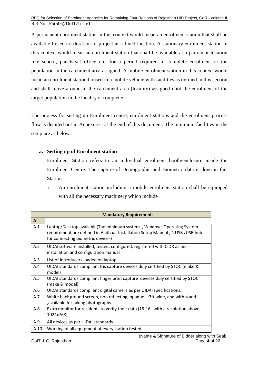A permanent enrolment station in this context would mean an enrolment station that shall be available for entire duration of project at a fixed location. A stationary enrolment station in this context would mean an enrolment station that shall be available at a particular location like school, panchayat office etc. for a period required to complete enrolment of the population in the catchment area assigned. A mobile enrolment station in this context would mean an enrolment station housed in a mobile vehicle with facilities as defined in this section and shall move around in the catchment area (locality) assigned until the enrolment of the target population in the locality is completed.

The process for setting up Enrolment centre, enrolment stations and the enrolment process flow is detailed out in Annexure I at the end of this document. The minimum facilities in the setup are as below.

## **a. Setting up of Enrolment station**

Enrolment Station refers to an individual enrolment booth/enclosure inside the Enrolment Centre. The capture of Demographic and Biometric data is done in this Station.

i. An enrolment station including a mobile enrolment station shall be equipped with all the necessary machinery which include

|              | <b>Mandatory Requirements</b>                                                                                                                                                               |
|--------------|---------------------------------------------------------------------------------------------------------------------------------------------------------------------------------------------|
| $\mathbf{A}$ |                                                                                                                                                                                             |
| A.1          | Laptop/Desktop available(The minimum system, Windows Operating System<br>requirement are defined in Aadhaar Installation Setup Manual; 4 USB / USB hub<br>for connecting biometric devices) |
| A.2          | UIDAI software installed, tested, configured, registered with CIDR as per<br>installation and configuration manual                                                                          |
| A.3          | List of Introducers loaded on laptop                                                                                                                                                        |
| A.4          | UIDAI standards compliant Iris capture devices duly certified by STQC (make &<br>model)                                                                                                     |
| A.5          | UIDAI standards compliant finger print capture devices duly certified by STQC<br>(make & model)                                                                                             |
| A.6          | UIDAI standards compliant digital camera as per UIDAI specifications.                                                                                                                       |
| A.7          | White back ground screen, non reflecting, opaque, ~3ft wide, and with stand<br>, available for taking photographs                                                                           |
| A.8          | Extra monitor for residents to verify their data (15-16" with a resolution above<br>1024x768)                                                                                               |
| A.9          | All devices as per UIDAI standards                                                                                                                                                          |
| A.10         | Working of all equipment at every station tested                                                                                                                                            |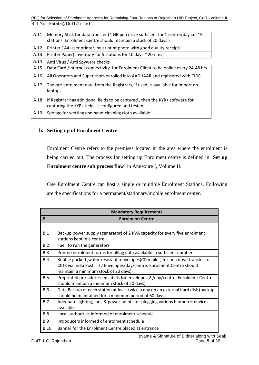| A.11 | Memory Stick for data transfer (4 GB pen drive sufficient for 1 centre/day i.e. ~5<br>stations. Enrolment Centre should maintain a stock of 20 days) |
|------|------------------------------------------------------------------------------------------------------------------------------------------------------|
| A.12 | Printer (A4 laser printer; must print photo with good quality receipt)                                                                               |
| A.13 | Printer Paper( Inventory for 5 stations for 10 days ~ 20 rims)                                                                                       |
| A.14 | Anti Virus / Anti Spyware checks                                                                                                                     |
| A.15 | Data Card /Internet connectivity for Enrolment Client to be online every 24-48 hrs                                                                   |
| A.16 | All Operators and Supervisors enrolled into AADHAAR and registered with CIDR                                                                         |
| A.17 | The pre-enrolment data from the Registrars, if used, is available for import on<br>laptops                                                           |
| A.18 | If Registrar has additional fields to be captured, then the KYR+ software for<br>capturing the KYR+ fields is configured and tested                  |
| A.19 | Sponge for wetting and hand-cleaning cloth available                                                                                                 |

### **b. Setting up of Enrolment Centre**

Enrolment Centre refers to the premises located in the area where the enrolment is being carried out. The process for setting up Enrolment centre is defined in "**Set up Enrolment centre sub process flow'** in Annexure I, Volume II.

One Enrolment Centre can host a single or multiple Enrolment Stations. Following are the specifications for a permanent/stationary/mobile enrolment center.

|              | <b>Mandatory Requirements</b>                                                                                                                                                                  |  |
|--------------|------------------------------------------------------------------------------------------------------------------------------------------------------------------------------------------------|--|
| <sub>B</sub> | <b>Enrolment Centre</b>                                                                                                                                                                        |  |
|              |                                                                                                                                                                                                |  |
| B.1          | Backup power supply (generator) of 2 KVA capacity for every five enrolment<br>stations kept in a centre                                                                                        |  |
| B.2          | Fuel to run the generators                                                                                                                                                                     |  |
| B.3          | Printed enrolment forms for filling data available in sufficient numbers                                                                                                                       |  |
| B.4          | Bubble packed, water resistant, envelopes(CD mailer) for pen drive transfer to<br>CIDR via India Post (2 Envelopes/day/centre. Enrolment Centre should<br>maintain a minimum stock of 20 days) |  |
| B.5          | Preprinted pre-addressed labels for envelopes(2 /day/centre. Enrolment Centre<br>should maintain a minimum stock of 20 days)                                                                   |  |
| <b>B.6</b>   | Data Backup of each station at least twice a day on an external hard disk (backup<br>should be maintained for a minimum period of 60 days).                                                    |  |
| B.7          | Adequate lighting, fans & power points for plugging various biometric devices<br>available                                                                                                     |  |
| <b>B.8</b>   | Local authorities informed of enrolment schedule                                                                                                                                               |  |
| <b>B.9</b>   | Introducers informed of enrolment schedule                                                                                                                                                     |  |
| <b>B.10</b>  | Banner for the Enrolment Centre placed at entrance                                                                                                                                             |  |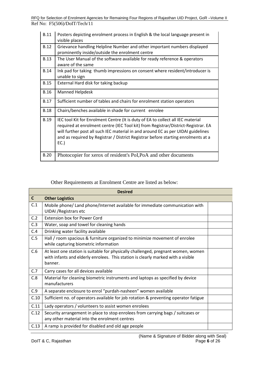| <b>B.11</b> | Posters depicting enrolment process in English & the local language present in<br>visible places                                                                                                                                                                                                                                                     |
|-------------|------------------------------------------------------------------------------------------------------------------------------------------------------------------------------------------------------------------------------------------------------------------------------------------------------------------------------------------------------|
| <b>B.12</b> | Grievance handling Helpline Number and other important numbers displayed<br>prominently inside/outside the enrolment centre                                                                                                                                                                                                                          |
| <b>B.13</b> | The User Manual of the software available for ready reference & operators<br>aware of the same                                                                                                                                                                                                                                                       |
| <b>B.14</b> | Ink pad for taking thumb impressions on consent where resident/introducer is<br>unable to sign                                                                                                                                                                                                                                                       |
| <b>B.15</b> | External Hard disk for taking backup                                                                                                                                                                                                                                                                                                                 |
| <b>B.16</b> | <b>Manned Helpdesk</b>                                                                                                                                                                                                                                                                                                                               |
| <b>B.17</b> | Sufficient number of tables and chairs for enrolment station operators                                                                                                                                                                                                                                                                               |
| <b>B.18</b> | Chairs/benches available in shade for current enrolee                                                                                                                                                                                                                                                                                                |
| <b>B.19</b> | IEC tool Kit for Enrolment Centre (It is duty of EA to collect all IEC material<br>required at enrolment centre (IEC Tool kit) from Registrar/District-Registrar. EA<br>will further post all such IEC material in and around EC as per UIDAI guidelines<br>and as required by Registrar / District Registrar before starting enrolments at a<br>EC. |
| <b>B.20</b> | Photocopier for xerox of resident's PoI, PoA and other documents                                                                                                                                                                                                                                                                                     |

Other Requirements at Enrolment Centre are listed as below:

| <b>Desired</b> |                                                                                                                                                                                  |  |
|----------------|----------------------------------------------------------------------------------------------------------------------------------------------------------------------------------|--|
| $\mathsf{C}$   | <b>Other Logistics</b>                                                                                                                                                           |  |
| C.1            | Mobile phone/Land phone/Internet available for immediate communication with<br><b>UIDAI</b> / Registrars etc                                                                     |  |
| C.2            | <b>Extension box for Power Cord</b>                                                                                                                                              |  |
| C.3            | Water, soap and towel for cleaning hands                                                                                                                                         |  |
| C.4            | Drinking water facility available                                                                                                                                                |  |
| C.5            | Hall / room spacious & furniture organized to minimize movement of enrolee<br>while capturing biometric information                                                              |  |
| C.6            | At least one station is suitable for physically challenged, pregnant women, women<br>with infants and elderly enrolees. This station is clearly marked with a visible<br>banner. |  |
| C.7            | Carry cases for all devices available                                                                                                                                            |  |
| C.8            | Material for cleaning biometric instruments and laptops as specified by device<br>manufacturers                                                                                  |  |
| C.9            | A separate enclosure to enrol "purdah-nasheen" women available                                                                                                                   |  |
| C.10           | Sufficient no. of operators available for job rotation & preventing operator fatigue                                                                                             |  |
| C.11           | Lady operators / volunteers to assist women enrolees                                                                                                                             |  |
| C.12           | Security arrangement in place to stop enrolees from carrying bags / suitcases or<br>any other material into the enrolment centres                                                |  |
| C.13           | A ramp is provided for disabled and old age people                                                                                                                               |  |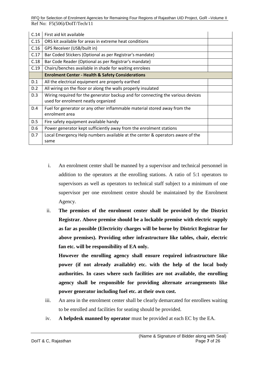| C.14 | First aid kit available                                                                                                |  |
|------|------------------------------------------------------------------------------------------------------------------------|--|
| C.15 | ORS kit available for areas in extreme heat conditions                                                                 |  |
| C.16 | GPS Receiver (USB/built in)                                                                                            |  |
| C.17 | Bar Coded Stickers (Optional as per Registrar's mandate)                                                               |  |
| C.18 | Bar Code Reader (Optional as per Registrar's mandate)                                                                  |  |
| C.19 | Chairs/benches available in shade for waiting enrolees                                                                 |  |
|      | <b>Enrolment Center - Health &amp; Safety Considerations</b>                                                           |  |
| D.1  | All the electrical equipment are properly earthed                                                                      |  |
| D.2  | All wiring on the floor or along the walls properly insulated                                                          |  |
| D.3  | Wiring required for the generator backup and for connecting the various devices<br>used for enrolment neatly organized |  |
| D.4  | Fuel for generator or any other inflammable material stored away from the<br>enrolment area                            |  |
| D.5  | Fire safety equipment available handy                                                                                  |  |
| D.6  | Power generator kept sufficiently away from the enrolment stations                                                     |  |
| D.7  | Local Emergency Help numbers available at the center & operators aware of the<br>same                                  |  |

- i. An enrolment center shall be manned by a supervisor and technical personnel in addition to the operators at the enrolling stations. A ratio of 5:1 operators to supervisors as well as operators to technical staff subject to a minimum of one supervisor per one enrolment centre should be maintained by the Enrolment Agency.
- ii. **The premises of the enrolment center shall be provided by the District Registrar. Above premise should be a lockable premise with electric supply as far as possible (Electricity charges will be borne by District Registrar for above premises). Providing other infrastructure like tables, chair, electric fan etc. will be responsibility of EA only.**

**However the enrolling agency shall ensure required infrastructure like power (if not already available) etc. with the help of the local body authorities. In cases where such facilities are not available, the enrolling agency shall be responsible for providing alternate arrangements like power generator including fuel etc. at their own cost.**

- iii. An area in the enrolment center shall be clearly demarcated for enrollees waiting to be enrolled and facilities for seating should be provided.
- iv. **A helpdesk manned by operator** must be provided at each EC by the EA.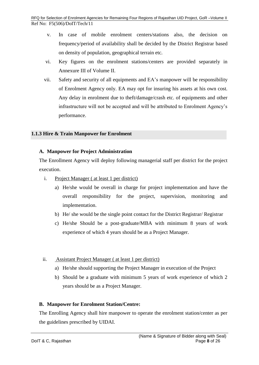- v. In case of mobile enrolment centers/stations also, the decision on frequency/period of availability shall be decided by the District Registrar based on density of population, geographical terrain etc.
- vi. Key figures on the enrolment stations/centers are provided separately in Annexure III of Volume II.
- vii. Safety and security of all equipments and EA"s manpower will be responsibility of Enrolment Agency only. EA may opt for insuring his assets at his own cost. Any delay in enrolment due to theft/damage/crash etc. of equipments and other infrastructure will not be accepted and will be attributed to Enrolment Agency"s performance.

## <span id="page-7-0"></span>**1.1.3 Hire & Train Manpower for Enrolment**

## **A. Manpower for Project Administration**

The Enrollment Agency will deploy following managerial staff per district for the project execution.

- i. Project Manager ( at least 1 per district)
	- a) He/she would be overall in charge for project implementation and have the overall responsibility for the project, supervision, monitoring and implementation.
	- b) He/ she would be the single point contact for the District Registrar/ Registrar
	- c) He/she Should be a post-graduate/MBA with minimum 8 years of work experience of which 4 years should be as a Project Manager.

## ii. Assistant Project Manager ( at least 1 per district)

- a) He/she should supporting the Project Manager in execution of the Project
- b) Should be a graduate with minimum 5 years of work experience of which 2 years should be as a Project Manager.

## **B. Manpower for Enrolment Station/Centre:**

The Enrolling Agency shall hire manpower to operate the enrolment station/center as per the guidelines prescribed by UIDAI.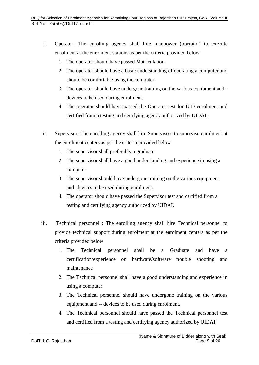- i. Operator: The enrolling agency shall hire manpower (operator) to execute enrolment at the enrolment stations as per the criteria provided below
	- 1. The operator should have passed Matriculation
	- 2. The operator should have a basic understanding of operating a computer and should be comfortable using the computer.
	- 3. The operator should have undergone training on the various equipment and devices to be used during enrolment.
	- 4. The operator should have passed the Operator test for UID enrolment and certified from a testing and certifying agency authorized by UIDAI.
- ii. Supervisor: The enrolling agency shall hire Supervisors to supervise enrolment at the enrolment centers as per the criteria provided below
	- 1. The supervisor shall preferably a graduate
	- 2. The supervisor shall have a good understanding and experience in using a computer.
	- 3. The supervisor should have undergone training on the various equipment and devices to be used during enrolment.
	- 4. The operator should have passed the Supervisor test and certified from a testing and certifying agency authorized by UIDAI.
- iii. Technical personnel : The enrolling agency shall hire Technical personnel to provide technical support during enrolment at the enrolment centers as per the criteria provided below
	- 1. The Technical personnel shall be a Graduate and have a certification/experience on hardware/software trouble shooting and maintenance
	- 2. The Technical personnel shall have a good understanding and experience in using a computer.
	- 3. The Technical personnel should have undergone training on the various equipment and -- devices to be used during enrolment.
	- 4. The Technical personnel should have passed the Technical personnel test and certified from a testing and certifying agency authorized by UIDAI.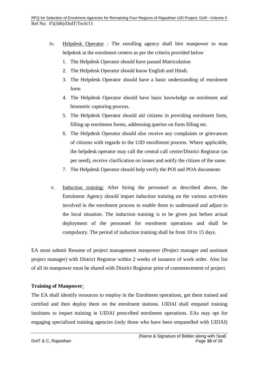- iv. Helpdesk Operator: The enrolling agency shall hire manpower to man helpdesk at the enrolment centers as per the criteria provided below
	- 1. The Helpdesk Operator should have passed Matriculation
	- 2. The Helpdesk Operator should know English and Hindi.
	- 3. The Helpdesk Operator should have a basic understanding of enrolment form
	- 4. The Helpdesk Operator should have basic knowledge on enrolment and biometric capturing process.
	- 5. The Helpdesk Operator should aid citizens in providing enrolment form, filling up enrolment forms, addressing queries on form filling etc.
	- 6. The Helpdesk Operator should also receive any complaints or grievances of citizens with regards to the UID enrollment process. Where applicable, the helpdesk operator may call the central call centre/District Registrar (as per need), receive clarification on issues and notify the citizen of the same.
	- 7. The Helpdesk Operator should help verify the POI and POA documents
- v. Induction training: After hiring the personnel as described above, the Enrolment Agency should impart induction training on the various activities involved in the enrolment process to enable them to understand and adjust to the local situation. The induction training is to be given just before actual deployment of the personnel for enrolment operations and shall be compulsory. The period of induction training shall be from 10 to 15 days.

EA must submit Resume of project management manpower (Project manager and assistant project manager) with District Registrar within 2 weeks of issuance of work order. Also list of all its manpower must be shared with District Registrar prior of commencement of project.

### **Training of Manpower**:

The EA shall identify resources to employ in the Enrolment operations, get them trained and certified and then deploy them on the enrolment stations. UIDAI shall empanel training institutes to impart training in UIDAI prescribed enrolment operations. EAs may opt for engaging specialized training agencies (only those who have been empanelled with UIDAI)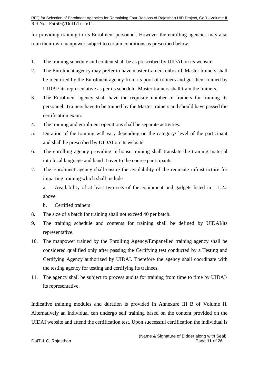for providing training to its Enrolment personnel. However the enrolling agencies may also train their own manpower subject to certain conditions as prescribed below.

- 1. The training schedule and content shall be as prescribed by UIDAI on its website.
- 2. The Enrolment agency may prefer to have master trainers onboard. Master trainers shall be identified by the Enrolment agency from its pool of trainers and get them trained by UIDAI/ its representative as per its schedule. Master trainers shall train the trainers.
- 3. The Enrolment agency shall have the requisite number of trainers for training its personnel. Trainers have to be trained by the Master trainers and should have passed the certification exam.
- 4. The training and enrolment operations shall be separate activities.
- 5. Duration of the training will vary depending on the category/ level of the participant and shall be prescribed by UIDAI on its website.
- 6. The enrolling agency providing in-house training shall translate the training material into local language and hand it over to the course participants.
- 7. The Enrolment agency shall ensure the availability of the requisite infrastructure for imparting training which shall include

a. Availability of at least two sets of the equipment and gadgets listed in 1.1.2.a above.

b. Certified trainers

- 8. The size of a batch for training shall not exceed 40 per batch.
- 9. The training schedule and contents for training shall be defined by UIDAI/its representative.
- 10. The manpower trained by the Enrolling Agency/Empanelled training agency shall be considered qualified only after passing the Certifying test conducted by a Testing and Certifying Agency authorized by UIDAI. Therefore the agency shall coordinate with the testing agency for testing and certifying its trainees.
- 11. The agency shall be subject to process audits for training from time to time by UIDAI/ its representative.

Indicative training modules and duration is provided in Annexure III B of Volume II. Alternatively an individual can undergo self training based on the content provided on the UIDAI website and attend the certification test. Upon successful certification the individual is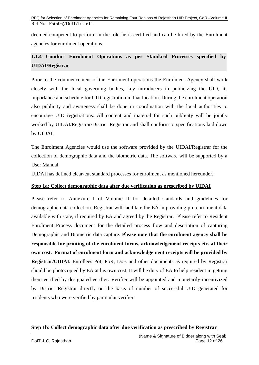deemed competent to perform in the role he is certified and can be hired by the Enrolment agencies for enrolment operations.

# <span id="page-11-0"></span>**1.1.4 Conduct Enrolment Operations as per Standard Processes specified by UIDAI/Registrar**

Prior to the commencement of the Enrolment operations the Enrolment Agency shall work closely with the local governing bodies, key introducers in publicizing the UID, its importance and schedule for UID registration in that location. During the enrolment operation also publicity and awareness shall be done in coordination with the local authorities to encourage UID registrations. All content and material for such publicity will be jointly worked by UIDAI/Registrar/District Registrar and shall conform to specifications laid down by UIDAI.

The Enrolment Agencies would use the software provided by the UIDAI/Registrar for the collection of demographic data and the biometric data. The software will be supported by a User Manual.

UIDAI has defined clear-cut standard processes for enrolment as mentioned hereunder.

## **Step 1a: Collect demographic data after due verification as prescribed by UIDAI**

Please refer to Annexure I of Volume II for detailed standards and guidelines for demographic data collection. Registrar will facilitate the EA in providing pre-enrolment data available with state, if required by EA and agreed by the Registrar. Please refer to Resident Enrolment Process document for the detailed process flow and description of capturing Demographic and Biometric data capture. **Please note that the enrolment agency shall be responsible for printing of the enrolment forms, acknowledgement receipts etc. at their own cost. Format of enrolment form and acknowledgement receipts will be provided by Registrar/UIDAI.** Enrollees PoI, PoR, DoB and other documents as required by Registrar should be photocopied by EA at his own cost. It will be duty of EA to help resident in getting them verified by designated verifier. Verifier will be appointed and monetarily incentivized by District Registrar directly on the basis of number of successful UID generated for residents who were verified by particular verifier.

## **Step 1b: Collect demographic data after due verification as prescribed by Registrar**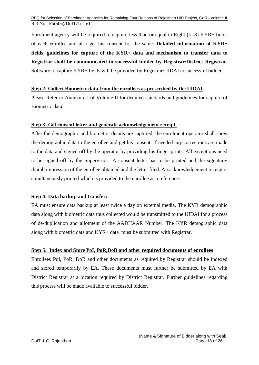Enrolment agency will be required to capture less than or equal to Eight  $(<=8)$  KYR+ fields of each enrollee and also get his consent for the same. **Detailed information of KYR+ fields, guidelines for capture of the KYR+ data and mechanism to transfer data to Registrar shall be communicated to successful bidder by Registrar/District Registrar.** Software to capture KYR+ fields will be provided by Registrar/UIDAI to successful bidder.

### **Step 2: Collect Biometric data from the enrollees as prescribed by the UIDAI**.

Please Refer to Annexure I of Volume II for detailed standards and guidelines for capture of Biometric data.

#### **Step 3: Get consent letter and generate acknowledgement receipt.**

After the demographic and biometric details are captured, the enrolment operator shall show the demographic data to the enrollee and get his consent. If needed any corrections are made to the data and signed off by the operator by providing his finger prints. All exceptions need to be signed off by the Supervisor. A consent letter has to be printed and the signature/ thumb impression of the enrollee obtained and the letter filed. An acknowledgement receipt is simultaneously printed which is provided to the enrollee as a reference.

### **Step 4: Data backup and transfer:**

EA must ensure data backup at least twice a day on external media. The KYR demographic data along with biometric data thus collected would be transmitted to the UIDAI for a process of de-duplication and allotment of the AADHAAR Number. The KYR demographic data along with biometric data and KYR+ data must be submitted with Registrar.

### **Step 5: Index and Store PoI, PoR,DoB and other required documents of enrollees**

Enrollees PoI, PoR, DoB and other documents as required by Registrar should be indexed and stored temporarily by EA. These documents must further be submitted by EA with District Registrar at a location required by District Registrar. Further guidelines regarding this process will be made available to successful bidder.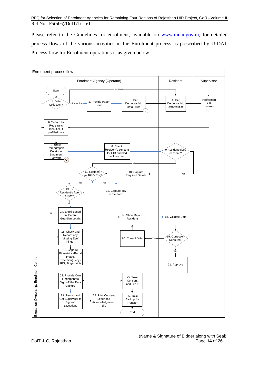Please refer to the Guidelines for enrolment, available on [www.uidai.gov.in,](http://www.uidai.gov.in/) for detailed process flows of the various activities in the Enrolment process as prescribed by UIDAI. Process flow for Enrolment operations is as given below:

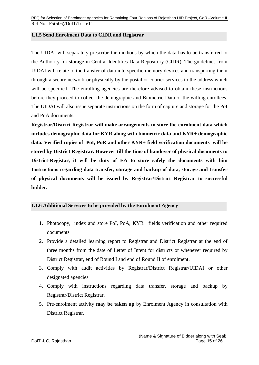#### <span id="page-14-0"></span>**1.1.5 Send Enrolment Data to CIDR and Registrar**

The UIDAI will separately prescribe the methods by which the data has to be transferred to the Authority for storage in Central Identities Data Repository (CIDR). The guidelines from UIDAI will relate to the transfer of data into specific memory devices and transporting them through a secure network or physically by the postal or courier services to the address which will be specified. The enrolling agencies are therefore advised to obtain these instructions before they proceed to collect the demographic and Biometric Data of the willing enrollees. The UIDAI will also issue separate instructions on the form of capture and storage for the PoI and PoA documents.

**Registrar/District Registrar will make arrangements to store the enrolment data which includes demographic data for KYR along with biometric data and KYR+ demographic data. Verified copies of PoI, PoR and other KYR+ field verification documents will be stored by District Registrar. However till the time of handover of physical documents to District-Registar, it will be duty of EA to store safely the documents with him Instructions regarding data transfer, storage and backup of data, storage and transfer of physical documents will be issued by Registrar/District Registrar to successful bidder.**

### <span id="page-14-1"></span>**1.1.6 Additional Services to be provided by the Enrolment Agency**

- 1. Photocopy, index and store PoI, PoA, KYR+ fields verification and other required documents
- 2. Provide a detailed learning report to Registrar and District Registrar at the end of three months from the date of Letter of Intent for districts or whenever required by District Registrar, end of Round I and end of Round II of enrolment.
- 3. Comply with audit activities by Registrar/District Registrar/UIDAI or other designated agencies
- 4. Comply with instructions regarding data transfer, storage and backup by Registrar/District Registrar.
- 5. Pre-enrolment activity **may be taken up** by Enrolment Agency in consultation with District Registrar.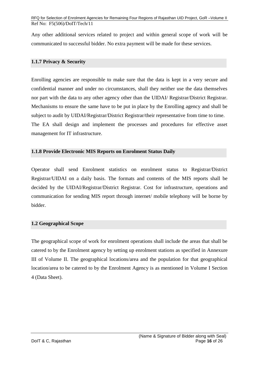Any other additional services related to project and within general scope of work will be communicated to successful bidder. No extra payment will be made for these services.

#### <span id="page-15-0"></span>**1.1.7 Privacy & Security**

Enrolling agencies are responsible to make sure that the data is kept in a very secure and confidential manner and under no circumstances, shall they neither use the data themselves nor part with the data to any other agency other than the UIDAI/ Registrar/District Registrar. Mechanisms to ensure the same have to be put in place by the Enrolling agency and shall be subject to audit by UIDAI/Registrar/District Registrar/their representative from time to time. The EA shall design and implement the processes and procedures for effective asset management for IT infrastructure.

#### <span id="page-15-1"></span>**1.1.8 Provide Electronic MIS Reports on Enrolment Status Daily**

Operator shall send Enrolment statistics on enrolment status to Registrar/District Registrar/UIDAI on a daily basis. The formats and contents of the MIS reports shall be decided by the UIDAI/Registrar/District Registrar. Cost for infrastructure, operations and communication for sending MIS report through internet/ mobile telephony will be borne by bidder.

#### <span id="page-15-2"></span>**1.2 Geographical Scope**

The geographical scope of work for enrolment operations shall include the areas that shall be catered to by the Enrolment agency by setting up enrolment stations as specified in Annexure III of Volume II. The geographical locations/area and the population for that geographical location/area to be catered to by the Enrolment Agency is as mentioned in Volume I Section 4 (Data Sheet).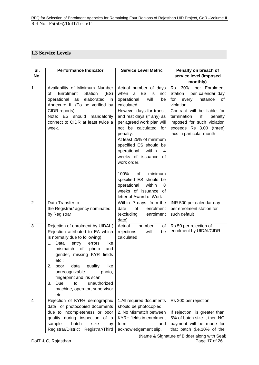## <span id="page-16-0"></span>**1.3 Service Levels**

| SI.            | <b>Performance Indicator</b>                                                                                                                                                                                                                                                                                                                                                                           | <b>Service Level Metric</b>                                                                                                                                                                                                                                                                                                                            | Penalty on breach of                                                                                                                                                                                                                                       |
|----------------|--------------------------------------------------------------------------------------------------------------------------------------------------------------------------------------------------------------------------------------------------------------------------------------------------------------------------------------------------------------------------------------------------------|--------------------------------------------------------------------------------------------------------------------------------------------------------------------------------------------------------------------------------------------------------------------------------------------------------------------------------------------------------|------------------------------------------------------------------------------------------------------------------------------------------------------------------------------------------------------------------------------------------------------------|
| No.            |                                                                                                                                                                                                                                                                                                                                                                                                        |                                                                                                                                                                                                                                                                                                                                                        | service level (imposed                                                                                                                                                                                                                                     |
|                |                                                                                                                                                                                                                                                                                                                                                                                                        |                                                                                                                                                                                                                                                                                                                                                        | monthly)                                                                                                                                                                                                                                                   |
| 1              | Availability of Minimum Number<br>Enrolment<br>Station<br>(ES)<br>of<br>operational<br>elaborated<br>as<br>in<br>Annexure III (To be verified by<br>CIDR reports).<br>Note: ES should mandatorily<br>connect to CIDR at least twice a<br>week.                                                                                                                                                         | Actual number of days<br>when<br>ES<br>a<br>is<br>not<br>operational<br>will<br>be<br>calculated.<br>However days for transit<br>and rest days (if any) as<br>per agreed work plan will<br>not be calculated for<br>penalty.<br>At least 25% of minimum<br>specified ES should be<br>operational<br>within<br>4<br>weeks of issuance of<br>work order. | Rs. 300/- per Enrolment<br>per calendar day<br>Station<br>instance<br>for<br>every<br>οf<br>violation.<br>Contract will be liable for<br>termination<br>if<br>penalty<br>imposed for such violation<br>exceeds Rs 3.00 (three)<br>lacs in particular month |
| $\overline{2}$ | Data Transfer to                                                                                                                                                                                                                                                                                                                                                                                       | 100%<br>of<br>minimum<br>specified ES should be<br>operational<br>within<br>8<br>weeks of issuance of<br>letter of Award of Work<br>Within 7 days from the                                                                                                                                                                                             | INR 500 per calendar day                                                                                                                                                                                                                                   |
|                | the Registrar/ agency nominated<br>by Registrar                                                                                                                                                                                                                                                                                                                                                        | of<br>enrolment<br>date<br>(excluding<br>enrolment<br>date)                                                                                                                                                                                                                                                                                            | per enrolment station for<br>such default                                                                                                                                                                                                                  |
| 3              | Rejection of enrolment by UIDAI (<br>Rejection attributed to EA which<br>is normally due to following)<br>Data<br>entry<br>like<br>1.<br>errors<br>mismatch<br>of<br>photo<br>and<br>gender, missing KYR fields<br>etc.:<br>like<br>quality<br>2.<br>data<br>poor<br>unrecognizable<br>photo,<br>fingerprint and iris scan<br>Due<br>to<br>unauthorized<br>3.<br>machine, operator, supervisor<br>etc. | number<br>of<br>Actual<br>rejections<br>will<br>be<br>calculated                                                                                                                                                                                                                                                                                       | Rs 50 per rejection of<br>enrolment by UIDAI/CIDR                                                                                                                                                                                                          |
| 4              | Rejection of KYR+ demographic<br>data or photocopied documents<br>due to incompleteness or poor<br>quality during inspection of a<br>batch<br>size<br>sample<br>by<br>Registrar/District Registrar/Third                                                                                                                                                                                               | 1.All required documents<br>should be photocopied<br>2. No Mismatch between<br>KYR+ fields in enrolment<br>form<br>and<br>acknowledgement slip.                                                                                                                                                                                                        | Rs 200 per rejection<br>If rejection is greater than<br>5% of batch size, then NO<br>payment will be made for<br>that batch (i.e.10% of the                                                                                                                |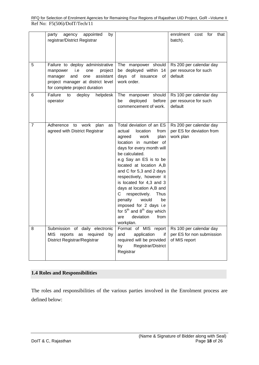|                | party<br>agency<br>appointed<br>by<br>registrar/District Registrar                                                                                                                |                                                                                                                                                                                                                                                                                                                                                                                                                                                                                                        | enrolment<br>for<br>that<br>cost<br>batch).                           |
|----------------|-----------------------------------------------------------------------------------------------------------------------------------------------------------------------------------|--------------------------------------------------------------------------------------------------------------------------------------------------------------------------------------------------------------------------------------------------------------------------------------------------------------------------------------------------------------------------------------------------------------------------------------------------------------------------------------------------------|-----------------------------------------------------------------------|
| 5              | Failure to deploy administrative<br>i.e<br>project<br>manpower<br>one<br>and<br>assistant<br>manager<br>one<br>project manager at district level<br>for complete project duration | The manpower should<br>be deployed within 14<br>days of issuance<br>of<br>work order.                                                                                                                                                                                                                                                                                                                                                                                                                  | Rs 200 per calendar day<br>per resource for such<br>default           |
| 6              | Failure<br>deploy<br>helpdesk<br>to<br>operator                                                                                                                                   | should<br>The<br>manpower<br>deployed<br>before<br>be<br>commencement of work.                                                                                                                                                                                                                                                                                                                                                                                                                         | Rs 100 per calendar day<br>per resource for such<br>default           |
| $\overline{7}$ | Adherence<br>to<br>work<br>plan<br>as<br>agreed with District Registrar                                                                                                           | Total deviation of an ES<br>actual<br>location<br>from<br>plan<br>work<br>agreed<br>location in number of<br>days for every month will<br>be calculated.<br>e.g Say an ES is to be<br>located at location A,B<br>and C for 5,3 and 2 days<br>respectively, however it<br>is located for 4,3 and 3<br>days at location A,B and<br>respectively.<br>С<br><b>Thus</b><br>penalty<br>would<br>be<br>imposed for 2 days i.e<br>for $5^{th}$ and $8^{th}$ day which<br>deviation<br>from<br>are<br>workplan. | Rs 200 per calendar day<br>per ES for deviation from<br>work plan     |
| 8              | Submission of daily electronic<br>reports as required<br>MIS<br>by<br><b>District Registrar/Registrar</b>                                                                         | Format of MIS report<br>application<br>and<br>if.<br>required will be provided<br>Registrar/District<br>by<br>Registrar                                                                                                                                                                                                                                                                                                                                                                                | Rs 100 per calendar day<br>per ES for non submission<br>of MIS report |

## **1.4 Roles and Responsibilities**

The roles and responsibilities of the various parties involved in the Enrolment process are defined below: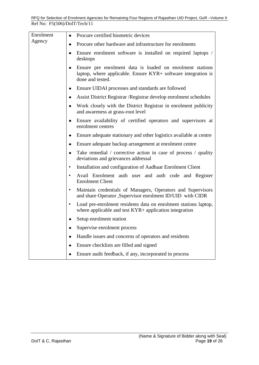| Enrolment | Procure certified biometric devices<br>٠                                                                                                                    |
|-----------|-------------------------------------------------------------------------------------------------------------------------------------------------------------|
| Agency    | Procure other hardware and infrastructure for enrolments<br>٠                                                                                               |
|           | Ensure enrolment software is installed on required laptops /<br>$\bullet$<br>desktops                                                                       |
|           | Ensure pre enrolment data is loaded on enrolment stations<br>$\bullet$<br>laptop, where applicable. Ensure KYR+ software integration is<br>done and tested. |
|           | Ensure UIDAI processes and standards are followed<br>٠                                                                                                      |
|           | Assist District Registrar / Registrar develop enrolment schedules<br>$\bullet$                                                                              |
|           | Work closely with the District Registrar in enrolment publicity<br>$\bullet$<br>and awareness at grass-root level                                           |
|           | Ensure availability of certified operators and supervisors at<br>٠<br>enrolment centres                                                                     |
|           | Ensure adequate stationary and other logistics available at centre<br>٠                                                                                     |
|           | Ensure adequate backup arrangement at enrolment centre<br>٠                                                                                                 |
|           | Take remedial / corrective action in case of process / quality<br>$\bullet$<br>deviations and grievances addressal                                          |
|           | Installation and configuration of Aadhaar Enrolment Client<br>$\bullet$                                                                                     |
|           | Avail Enrolment auth user and auth code and Register<br>$\bullet$<br><b>Enrolment Client</b>                                                                |
|           | Maintain credentials of Managers, Operators and Supervisors<br>٠<br>and share Operator ,Supervisor enrolment ID/UID with CIDR                               |
|           | Load pre-enrolment residents data on enrolment stations laptop,<br>$\bullet$<br>where applicable and test $KYR+$ application integration                    |
|           | Setup enrolment station                                                                                                                                     |
|           | Supervise enrolment process                                                                                                                                 |
|           | Handle issues and concerns of operators and residents<br>٠                                                                                                  |
|           | Ensure checklists are filled and signed                                                                                                                     |
|           | Ensure audit feedback, if any, incorporated in process<br>$\bullet$                                                                                         |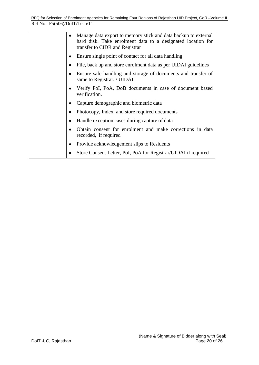| ٠ | Manage data export to memory stick and data backup to external<br>hard disk. Take enrolment data to a designated location for<br>transfer to CIDR and Registrar |
|---|-----------------------------------------------------------------------------------------------------------------------------------------------------------------|
| ٠ | Ensure single point of contact for all data handling                                                                                                            |
| ٠ | File, back up and store enrolment data as per UIDAI guidelines                                                                                                  |
| ٠ | Ensure safe handling and storage of documents and transfer of<br>same to Registrar. / UIDAI                                                                     |
| ٠ | Verify PoI, PoA, DoB documents in case of document based<br>verification.                                                                                       |
|   | Capture demographic and biometric data                                                                                                                          |
| ٠ | Photocopy, Index and store required documents                                                                                                                   |
| ٠ | Handle exception cases during capture of data                                                                                                                   |
|   | Obtain consent for enrolment and make corrections in data<br>recorded, if required                                                                              |
| ٠ | Provide acknowledgement slips to Residents                                                                                                                      |
|   | Store Consent Letter, PoI, PoA for Registrar/UIDAI if required                                                                                                  |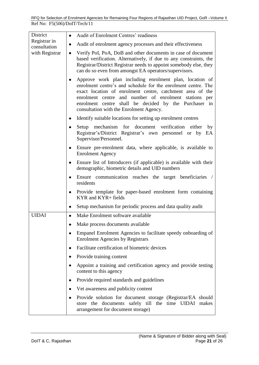| District                     | Audit of Enrolment Centres' readiness<br>$\bullet$                                                                                                                                                                                                                                                                                                      |
|------------------------------|---------------------------------------------------------------------------------------------------------------------------------------------------------------------------------------------------------------------------------------------------------------------------------------------------------------------------------------------------------|
| Registrar in<br>consultation | Audit of enrolment agency processes and their effectiveness<br>٠                                                                                                                                                                                                                                                                                        |
| with Registrar               | Verify PoI, PoA, DoB and other documents in case of document<br>$\bullet$<br>based verification. Alternatively, if due to any constraints, the<br>Registrar/District Registrar needs to appoint somebody else, they<br>can do so even from amongst EA operators/supervisors.                                                                            |
|                              | Approve work plan including enrolment plan, location of<br>٠<br>enrolment centre's and schedule for the enrolment centre. The<br>exact location of enrolment centre, catchment area of the<br>enrolment centre and number of enrolment stations per<br>enrolment centre shall be decided by the Purchaser in<br>consultation with the Enrolment Agency. |
|                              | Identify suitable locations for setting up enrolment centres<br>$\bullet$                                                                                                                                                                                                                                                                               |
|                              | Setup mechanism for document verification either<br>by<br>$\bullet$<br>Registrar's/District Registrar's own personnel or by EA<br>Supervisor/Personnel.                                                                                                                                                                                                 |
|                              | Ensure pre-enrolment data, where applicable, is available to<br>$\bullet$<br><b>Enrolment Agency</b>                                                                                                                                                                                                                                                    |
|                              | Ensure list of Introducers (if applicable) is available with their<br>$\bullet$<br>demographic, biometric details and UID numbers                                                                                                                                                                                                                       |
|                              | Ensure communication reaches the target beneficiaries /<br>$\bullet$<br>residents                                                                                                                                                                                                                                                                       |
|                              | Provide template for paper-based enrolment form containing<br>$\bullet$<br>KYR and KYR+ fields                                                                                                                                                                                                                                                          |
|                              | Setup mechanism for periodic process and data quality audit<br>$\bullet$                                                                                                                                                                                                                                                                                |
| <b>UIDAI</b>                 | Make Enrolment software available<br>$\bullet$                                                                                                                                                                                                                                                                                                          |
|                              | Make process documents available                                                                                                                                                                                                                                                                                                                        |
|                              | Empanel Enrolment Agencies to facilitate speedy onboarding of<br>٠<br><b>Enrolment Agencies by Registrars</b>                                                                                                                                                                                                                                           |
|                              | Facilitate certification of biometric devices<br>٠                                                                                                                                                                                                                                                                                                      |
|                              | Provide training content<br>$\bullet$                                                                                                                                                                                                                                                                                                                   |
|                              | Appoint a training and certification agency and provide testing<br>content to this agency                                                                                                                                                                                                                                                               |
|                              | Provide required standards and guidelines<br>$\bullet$                                                                                                                                                                                                                                                                                                  |
|                              | Vet awareness and publicity content<br>٠                                                                                                                                                                                                                                                                                                                |
|                              | Provide solution for document storage (Registrar/EA should<br>store the documents safely till the time UIDAI makes<br>arrangement for document storage)                                                                                                                                                                                                 |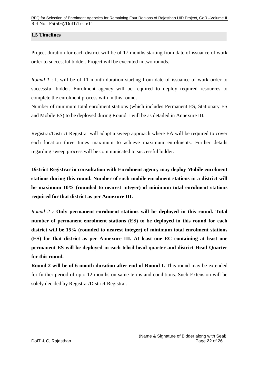## <span id="page-21-0"></span>**1.5 Timelines**

Project duration for each district will be of 17 months starting from date of issuance of work order to successful bidder. Project will be executed in two rounds.

*Round 1* : It will be of 11 month duration starting from date of issuance of work order to successful bidder. Enrolment agency will be required to deploy required resources to complete the enrolment process with in this round.

Number of minimum total enrolment stations (which includes Permanent ES, Stationary ES and Mobile ES) to be deployed during Round 1 will be as detailed in Annexure III.

Registrar/District Registrar will adopt a sweep approach where EA will be required to cover each location three times maximum to achieve maximum enrolments. Further details regarding sweep process will be communicated to successful bidder.

**District Registrar in consultation with Enrolment agency may deploy Mobile enrolment stations during this round. Number of such mobile enrolment stations in a district will be maximum 10% (rounded to nearest integer) of minimum total enrolment stations required for that district as per Annexure III.** 

*Round 2 :* **Only permanent enrolment stations will be deployed in this round. Total number of permanent enrolment stations (ES) to be deployed in this round for each district will be 15% (rounded to nearest integer) of minimum total enrolment stations (ES) for that district as per Annexure III. At least one EC containing at least one permanent ES will be deployed in each tehsil head quarter and district Head Quarter for this round.** 

**Round 2 will be of 6 month duration after end of Round I.** This round may be extended for further period of upto 12 months on same terms and conditions. Such Extension will be solely decided by Registrar/District‐Registrar.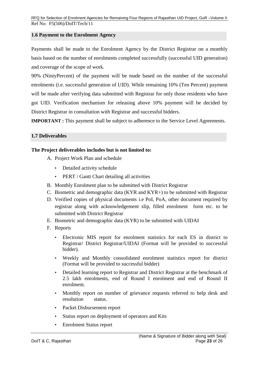### <span id="page-22-0"></span>**1.6 Payment to the Enrolment Agency**

Payments shall be made to the Enrolment Agency by the District Registrar on a monthly basis based on the number of enrolments completed successfully (successful UID generation) and coverage of the scope of work.

90% (NintyPercent) of the payment will be made based on the number of the successful enrolments (i.e. successful generation of UID). While remaining 10% (Ten Percent) payment will be made after verifying data submitted with Registrar for only those residents who have got UID. Verification mechanism for releasing above 10% payment will be decided by District Registrar in consultation with Registrar and successful bidders.

**IMPORTANT** : This payment shall be subject to adherence to the Service Level Agreements.

#### **1.7 Deliverables**

#### **The Project deliverables includes but is not limited to:**

- A. Project Work Plan and schedule
	- Detailed activity schedule
	- PERT / Gantt Chart detailing all activities
- B. Monthly Enrolment plan to be submitted with District Registrar
- C. Biometric and demographic data (KYR and KYR+) to be submitted with Registrar
- D. Verified copies of physical documents i.e PoI, PoA, other document required by registrar along with acknowledgement slip, filled enrolment form etc. to be submitted with District Registrar
- E. Biometric and demographic data (KYR) to be submitted with UIDAI
- F. Reports
	- Electronic MIS report for enrolment statistics for each ES in district to Registrar/ District Registrar/UIDAI (Format will be provided to successful bidder).
	- Weekly and Monthly consolidated enrolment statistics report for district (Format will be provided to successful bidder)
	- Detailed learning report to Registrar and District Registrar at the benchmark of 2.5 lakh enrolments, end of Round I enrolment and end of Round II enrolment.
	- Monthly report on number of grievance requests referred to help desk and resolution status.
	- Packet Disbursement report
	- Status report on deployment of operators and Kits
	- Enrolment Status report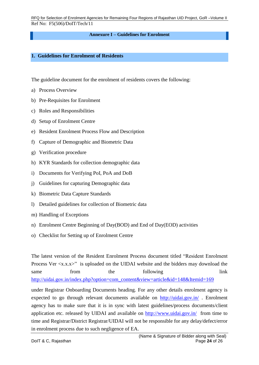#### **Annexure I – Guidelines for Enrolment**

#### <span id="page-23-0"></span>**1. Guidelines for Enrolment of Residents**

The guideline document for the enrolment of residents covers the following:

- a) Process Overview
- b) Pre-Requisites for Enrolment
- c) Roles and Responsibilities
- d) Setup of Enrolment Centre
- e) Resident Enrolment Process Flow and Description
- f) Capture of Demographic and Biometric Data
- g) Verification procedure
- h) KYR Standards for collection demographic data
- i) Documents for Verifying PoI, PoA and DoB
- j) Guidelines for capturing Demographic data
- k) Biometric Data Capture Standards
- l) Detailed guidelines for collection of Biometric data
- m) Handling of Exceptions
- n) Enrolment Centre Beginning of Day(BOD) and End of Day(EOD) activities
- o) Checklist for Setting up of Enrolment Centre

The latest version of the Resident Enrolment Process document titled "Resident Enrolment Process Ver  $\langle x.x.x \rangle$ " is uploaded on the UIDAI website and the bidders may download the same from the following link [http://uidai.gov.in/index.php?option=com\\_content&view=article&id=148&Itemid=169](http://uidai.gov.in/index.php?option=com_content&view=article&id=148&Itemid=169%20)

under Registrar Onboarding Documents heading. For any other details enrolment agency is expected to go through relevant documents available on <http://uidai.gov.in/>. Enrolment agency has to make sure that it is in sync with latest guidelines/process documents/client application etc. released by UIDAI and available on<http://www.uidai.gov.in/>from time to time and Registrar/District Registrar/UIDAI will not be responsible for any delay/defect/error in enrolment process due to such negligence of EA.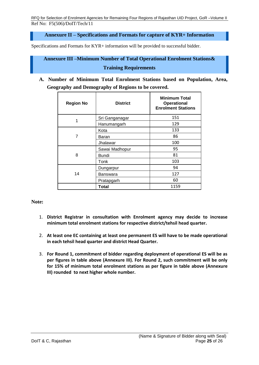**Annexure II – Specifications and Formats for capture of KYR+ Information**

<span id="page-24-1"></span><span id="page-24-0"></span>Specifications and Formats for KYR+ information will be provided to successful bidder.

# **Annexure III –Minimum Number of Total Operational Enrolment Stations& Training Requirements**

**A. Number of Minimum Total Enrolment Stations based on Population, Area, Geography and Demography of Regions to be covered.**

| <b>Region No</b> | <b>District</b> | <b>Minimum Total</b><br><b>Operational</b><br><b>Enrolment Stations</b> |
|------------------|-----------------|-------------------------------------------------------------------------|
| 1                | Sri Ganganagar  | 151                                                                     |
|                  | Hanumangarh     | 129                                                                     |
| 7                | Kota            | 133                                                                     |
|                  | Baran           | 86                                                                      |
|                  | Jhalawar        | 100                                                                     |
| 8                | Sawai Madhopur  | 95                                                                      |
|                  | Bundi           | 81                                                                      |
|                  | Tonk            | 103                                                                     |
| 14               | Dungarpur       | 94                                                                      |
|                  | Banswara        | 127                                                                     |
|                  | Pratapgarh      | 60                                                                      |
|                  | Total           | 1159                                                                    |

### **Note:**

- 1. **District Registrar in consultation with Enrolment agency may decide to increase minimum total enrolment stations for respective district/tehsil head quarter.**
- 2. **At least one EC containing at least one permanent ES will have to be made operational in each tehsil head quarter and district Head Quarter.**
- 3. **For Round 1, commitment of bidder regarding deployment of operational ES will be as per figures in table above (Annexure III). For Round 2, such commitment will be only for 15% of minimum total enrolment stations as per figure in table above (Annexure III) rounded to next higher whole number.**